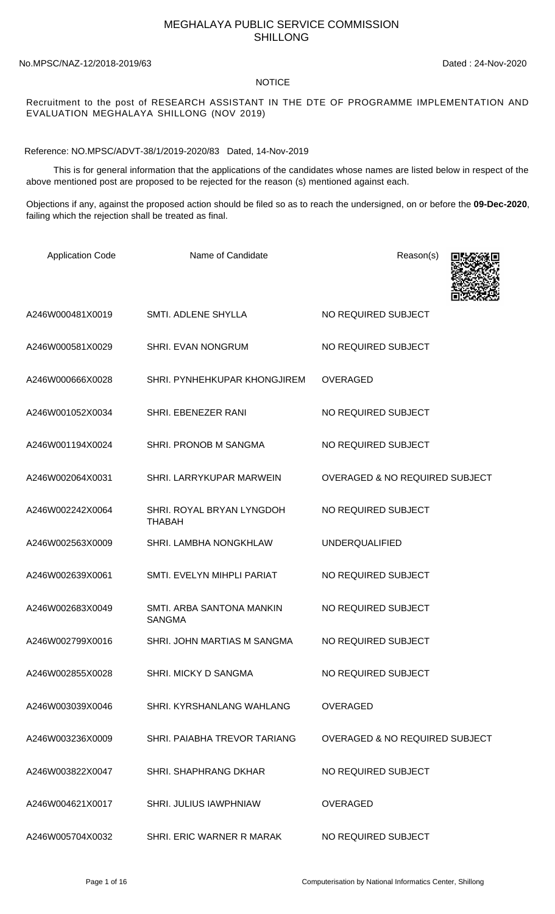## MEGHALAYA PUBLIC SERVICE COMMISSION SHILLONG

No.MPSC/NAZ-12/2018-2019/63 Dated : 24-Nov-2020

## NOTICE

## Recruitment to the post of RESEARCH ASSISTANT IN THE DTE OF PROGRAMME IMPLEMENTATION AND EVALUATION MEGHALAYA SHILLONG (NOV 2019)

Reference: NO.MPSC/ADVT-38/1/2019-2020/83 Dated, 14-Nov-2019

 This is for general information that the applications of the candidates whose names are listed below in respect of the above mentioned post are proposed to be rejected for the reason (s) mentioned against each.

Objections if any, against the proposed action should be filed so as to reach the undersigned, on or before the **09-Dec-2020**, failing which the rejection shall be treated as final.

| <b>Application Code</b> | Name of Candidate                          | Reason(s)                                 |
|-------------------------|--------------------------------------------|-------------------------------------------|
| A246W000481X0019        | <b>SMTI. ADLENE SHYLLA</b>                 | NO REQUIRED SUBJECT                       |
| A246W000581X0029        | <b>SHRI. EVAN NONGRUM</b>                  | NO REQUIRED SUBJECT                       |
| A246W000666X0028        | SHRI. PYNHEHKUPAR KHONGJIREM               | <b>OVERAGED</b>                           |
| A246W001052X0034        | SHRI. EBENEZER RANI                        | NO REQUIRED SUBJECT                       |
| A246W001194X0024        | SHRI. PRONOB M SANGMA                      | NO REQUIRED SUBJECT                       |
| A246W002064X0031        | SHRI. LARRYKUPAR MARWEIN                   | <b>OVERAGED &amp; NO REQUIRED SUBJECT</b> |
| A246W002242X0064        | SHRI. ROYAL BRYAN LYNGDOH<br><b>THABAH</b> | NO REQUIRED SUBJECT                       |
| A246W002563X0009        | SHRI. LAMBHA NONGKHLAW                     | <b>UNDERQUALIFIED</b>                     |
| A246W002639X0061        | SMTI. EVELYN MIHPLI PARIAT                 | NO REQUIRED SUBJECT                       |
| A246W002683X0049        | SMTI. ARBA SANTONA MANKIN<br><b>SANGMA</b> | NO REQUIRED SUBJECT                       |
| A246W002799X0016        | SHRI. JOHN MARTIAS M SANGMA                | NO REQUIRED SUBJECT                       |
| A246W002855X0028        | SHRI. MICKY D SANGMA                       | NO REQUIRED SUBJECT                       |
| A246W003039X0046        | SHRI, KYRSHANLANG WAHLANG                  | <b>OVERAGED</b>                           |
| A246W003236X0009        | SHRI. PAIABHA TREVOR TARIANG               | <b>OVERAGED &amp; NO REQUIRED SUBJECT</b> |
| A246W003822X0047        | <b>SHRI. SHAPHRANG DKHAR</b>               | NO REQUIRED SUBJECT                       |
| A246W004621X0017        | SHRI. JULIUS IAWPHNIAW                     | <b>OVERAGED</b>                           |
| A246W005704X0032        | SHRI. ERIC WARNER R MARAK                  | NO REQUIRED SUBJECT                       |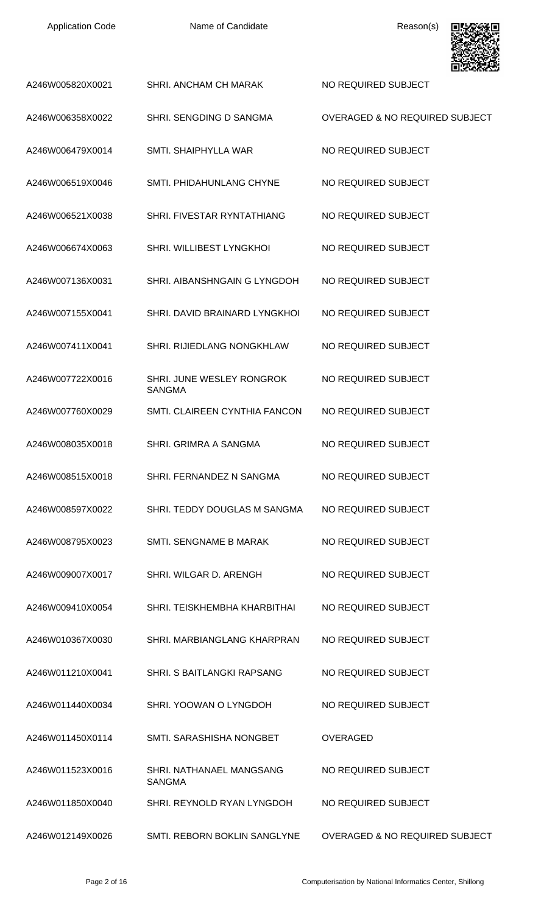| <b>Application Code</b> |  |
|-------------------------|--|
|-------------------------|--|



|                  |                                            | בכתומים הנ                                |
|------------------|--------------------------------------------|-------------------------------------------|
| A246W005820X0021 | SHRI. ANCHAM CH MARAK                      | NO REQUIRED SUBJECT                       |
| A246W006358X0022 | SHRI. SENGDING D SANGMA                    | <b>OVERAGED &amp; NO REQUIRED SUBJECT</b> |
| A246W006479X0014 | SMTI. SHAIPHYLLA WAR                       | NO REQUIRED SUBJECT                       |
| A246W006519X0046 | SMTI. PHIDAHUNLANG CHYNE                   | NO REQUIRED SUBJECT                       |
| A246W006521X0038 | SHRI. FIVESTAR RYNTATHIANG                 | NO REQUIRED SUBJECT                       |
| A246W006674X0063 | SHRI. WILLIBEST LYNGKHOI                   | NO REQUIRED SUBJECT                       |
| A246W007136X0031 | SHRI. AIBANSHNGAIN G LYNGDOH               | NO REQUIRED SUBJECT                       |
| A246W007155X0041 | SHRI. DAVID BRAINARD LYNGKHOI              | NO REQUIRED SUBJECT                       |
| A246W007411X0041 | SHRI. RIJIEDLANG NONGKHLAW                 | NO REQUIRED SUBJECT                       |
| A246W007722X0016 | SHRI. JUNE WESLEY RONGROK<br><b>SANGMA</b> | NO REQUIRED SUBJECT                       |
| A246W007760X0029 | SMTI. CLAIREEN CYNTHIA FANCON              | NO REQUIRED SUBJECT                       |
| A246W008035X0018 | SHRI. GRIMRA A SANGMA                      | NO REQUIRED SUBJECT                       |
| A246W008515X0018 | SHRI. FERNANDEZ N SANGMA                   | NO REQUIRED SUBJECT                       |
| A246W008597X0022 | SHRI. TEDDY DOUGLAS M SANGMA               | NO REQUIRED SUBJECT                       |
| A246W008795X0023 | SMTI. SENGNAME B MARAK                     | NO REQUIRED SUBJECT                       |
| A246W009007X0017 | SHRI, WILGAR D. ARENGH                     | NO REQUIRED SUBJECT                       |
| A246W009410X0054 | SHRI. TEISKHEMBHA KHARBITHAI               | NO REQUIRED SUBJECT                       |
| A246W010367X0030 | SHRI, MARBIANGLANG KHARPRAN                | NO REQUIRED SUBJECT                       |
| A246W011210X0041 | SHRI. S BAITLANGKI RAPSANG                 | NO REQUIRED SUBJECT                       |
| A246W011440X0034 | SHRI, YOOWAN O LYNGDOH                     | NO REQUIRED SUBJECT                       |
| A246W011450X0114 | SMTI, SARASHISHA NONGBET                   | <b>OVERAGED</b>                           |
| A246W011523X0016 | SHRI, NATHANAEL MANGSANG<br><b>SANGMA</b>  | NO REQUIRED SUBJECT                       |
| A246W011850X0040 | SHRI, REYNOLD RYAN LYNGDOH                 | NO REQUIRED SUBJECT                       |
| A246W012149X0026 | SMTI. REBORN BOKLIN SANGLYNE               | <b>OVERAGED &amp; NO REQUIRED SUBJECT</b> |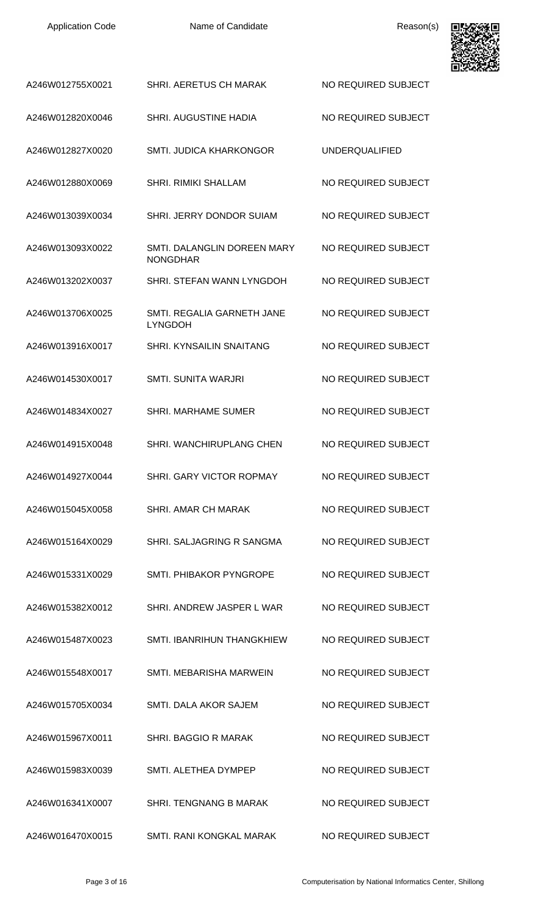| <b>Application Code</b> | Name of Candidate                              | Reason(s)             | оι<br>医院 公司 |
|-------------------------|------------------------------------------------|-----------------------|-------------|
| A246W012755X0021        | SHRI. AERETUS CH MARAK                         | NO REQUIRED SUBJECT   |             |
| A246W012820X0046        | <b>SHRI. AUGUSTINE HADIA</b>                   | NO REQUIRED SUBJECT   |             |
| A246W012827X0020        | <b>SMTI. JUDICA KHARKONGOR</b>                 | <b>UNDERQUALIFIED</b> |             |
| A246W012880X0069        | <b>SHRI. RIMIKI SHALLAM</b>                    | NO REQUIRED SUBJECT   |             |
| A246W013039X0034        | SHRI. JERRY DONDOR SUIAM                       | NO REQUIRED SUBJECT   |             |
| A246W013093X0022        | SMTI. DALANGLIN DOREEN MARY<br><b>NONGDHAR</b> | NO REQUIRED SUBJECT   |             |
| A246W013202X0037        | SHRI. STEFAN WANN LYNGDOH                      | NO REQUIRED SUBJECT   |             |
| A246W013706X0025        | SMTI. REGALIA GARNETH JANE<br><b>LYNGDOH</b>   | NO REQUIRED SUBJECT   |             |
| A246W013916X0017        | <b>SHRI, KYNSAILIN SNAITANG</b>                | NO REQUIRED SUBJECT   |             |
| A246W014530X0017        | <b>SMTI. SUNITA WARJRI</b>                     | NO REQUIRED SUBJECT   |             |
| A246W014834X0027        | <b>SHRI. MARHAME SUMER</b>                     | NO REQUIRED SUBJECT   |             |
| A246W014915X0048        | SHRI. WANCHIRUPLANG CHEN                       | NO REQUIRED SUBJECT   |             |
| A246W014927X0044        | SHRI. GARY VICTOR ROPMAY                       | NO REQUIRED SUBJECT   |             |
| A246W015045X0058        | <b>SHRI. AMAR CH MARAK</b>                     | NO REQUIRED SUBJECT   |             |
| A246W015164X0029        | SHRI. SALJAGRING R SANGMA                      | NO REQUIRED SUBJECT   |             |
| A246W015331X0029        | SMTI. PHIBAKOR PYNGROPE                        | NO REQUIRED SUBJECT   |             |
| A246W015382X0012        | SHRI. ANDREW JASPER L WAR                      | NO REQUIRED SUBJECT   |             |
| A246W015487X0023        | SMTI. IBANRIHUN THANGKHIEW                     | NO REQUIRED SUBJECT   |             |
| A246W015548X0017        | SMTI. MEBARISHA MARWEIN                        | NO REQUIRED SUBJECT   |             |
| A246W015705X0034        | SMTI. DALA AKOR SAJEM                          | NO REQUIRED SUBJECT   |             |
| A246W015967X0011        | <b>SHRI. BAGGIO R MARAK</b>                    | NO REQUIRED SUBJECT   |             |
| A246W015983X0039        | SMTI. ALETHEA DYMPEP                           | NO REQUIRED SUBJECT   |             |
| A246W016341X0007        | SHRI. TENGNANG B MARAK                         | NO REQUIRED SUBJECT   |             |
| A246W016470X0015        | SMTI. RANI KONGKAL MARAK                       | NO REQUIRED SUBJECT   |             |

п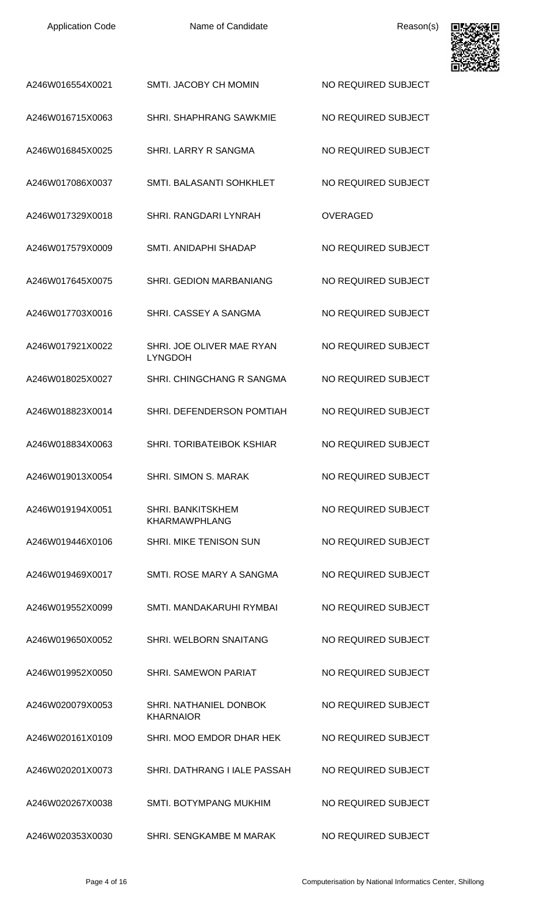| <b>Application Code</b> |  |
|-------------------------|--|
|-------------------------|--|



| A246W016554X0021 | SMTI. JACOBY CH MOMIN                            | NO REQUIRED SUBJECT |
|------------------|--------------------------------------------------|---------------------|
| A246W016715X0063 | SHRI, SHAPHRANG SAWKMIE                          | NO REQUIRED SUBJECT |
| A246W016845X0025 | SHRI. LARRY R SANGMA                             | NO REQUIRED SUBJECT |
| A246W017086X0037 | SMTI. BALASANTI SOHKHLET                         | NO REQUIRED SUBJECT |
| A246W017329X0018 | SHRI. RANGDARI LYNRAH                            | <b>OVERAGED</b>     |
| A246W017579X0009 | SMTI. ANIDAPHI SHADAP                            | NO REQUIRED SUBJECT |
| A246W017645X0075 | <b>SHRI. GEDION MARBANIANG</b>                   | NO REQUIRED SUBJECT |
| A246W017703X0016 | SHRI. CASSEY A SANGMA                            | NO REQUIRED SUBJECT |
| A246W017921X0022 | SHRI. JOE OLIVER MAE RYAN<br><b>LYNGDOH</b>      | NO REQUIRED SUBJECT |
| A246W018025X0027 | SHRI. CHINGCHANG R SANGMA                        | NO REQUIRED SUBJECT |
| A246W018823X0014 | SHRI. DEFENDERSON POMTIAH                        | NO REQUIRED SUBJECT |
| A246W018834X0063 | <b>SHRI. TORIBATEIBOK KSHIAR</b>                 | NO REQUIRED SUBJECT |
| A246W019013X0054 | SHRI. SIMON S. MARAK                             | NO REQUIRED SUBJECT |
| A246W019194X0051 | <b>SHRI. BANKITSKHEM</b><br><b>KHARMAWPHLANG</b> | NO REQUIRED SUBJECT |
| A246W019446X0106 | SHRI. MIKE TENISON SUN                           | NO REQUIRED SUBJECT |
| A246W019469X0017 | SMTI. ROSE MARY A SANGMA                         | NO REQUIRED SUBJECT |
| A246W019552X0099 | SMTI, MANDAKARUHI RYMBAI                         | NO REQUIRED SUBJECT |
| A246W019650X0052 | SHRI. WELBORN SNAITANG                           | NO REQUIRED SUBJECT |
| A246W019952X0050 | <b>SHRI. SAMEWON PARIAT</b>                      | NO REQUIRED SUBJECT |
| A246W020079X0053 | SHRI. NATHANIEL DONBOK<br><b>KHARNAIOR</b>       | NO REQUIRED SUBJECT |
| A246W020161X0109 | SHRI. MOO EMDOR DHAR HEK                         | NO REQUIRED SUBJECT |
| A246W020201X0073 | SHRI. DATHRANG I IALE PASSAH                     | NO REQUIRED SUBJECT |
| A246W020267X0038 | <b>SMTI. BOTYMPANG MUKHIM</b>                    | NO REQUIRED SUBJECT |
| A246W020353X0030 | SHRI. SENGKAMBE M MARAK                          | NO REQUIRED SUBJECT |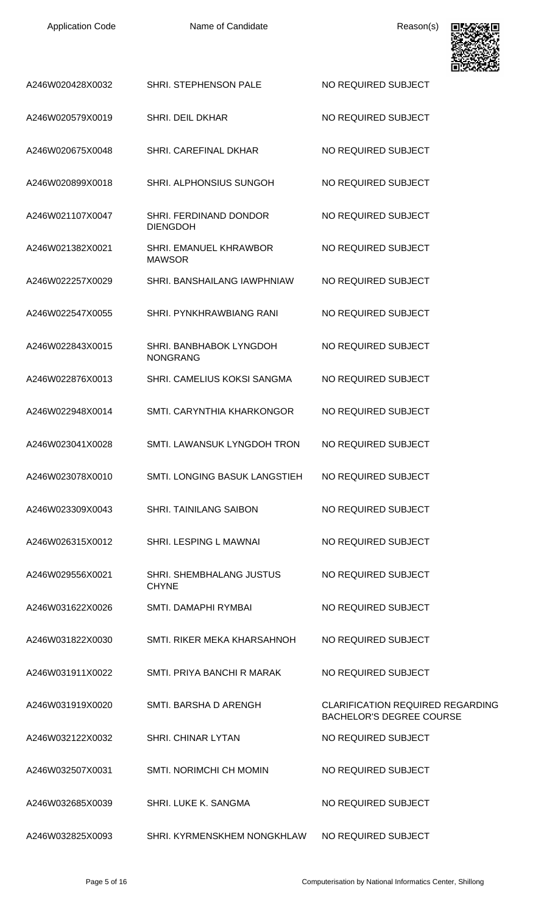| A246W020428X0032 | SHRI. STEPHENSON PALE                           | NO REQUIRED SUBJECT                                                        |
|------------------|-------------------------------------------------|----------------------------------------------------------------------------|
| A246W020579X0019 | SHRI. DEIL DKHAR                                | NO REQUIRED SUBJECT                                                        |
| A246W020675X0048 | SHRI, CAREFINAL DKHAR                           | NO REQUIRED SUBJECT                                                        |
| A246W020899X0018 | SHRI. ALPHONSIUS SUNGOH                         | NO REQUIRED SUBJECT                                                        |
| A246W021107X0047 | SHRI. FERDINAND DONDOR<br><b>DIENGDOH</b>       | NO REQUIRED SUBJECT                                                        |
| A246W021382X0021 | SHRI. EMANUEL KHRAWBOR<br><b>MAWSOR</b>         | NO REQUIRED SUBJECT                                                        |
| A246W022257X0029 | SHRI, BANSHAILANG IAWPHNIAW                     | NO REQUIRED SUBJECT                                                        |
| A246W022547X0055 | SHRI. PYNKHRAWBIANG RANI                        | NO REQUIRED SUBJECT                                                        |
| A246W022843X0015 | SHRI. BANBHABOK LYNGDOH<br><b>NONGRANG</b>      | NO REQUIRED SUBJECT                                                        |
| A246W022876X0013 | SHRI. CAMELIUS KOKSI SANGMA                     | NO REQUIRED SUBJECT                                                        |
| A246W022948X0014 | SMTI. CARYNTHIA KHARKONGOR                      | NO REQUIRED SUBJECT                                                        |
| A246W023041X0028 | SMTI. LAWANSUK LYNGDOH TRON                     | NO REQUIRED SUBJECT                                                        |
| A246W023078X0010 | SMTI. LONGING BASUK LANGSTIEH                   | NO REQUIRED SUBJECT                                                        |
| A246W023309X0043 | <b>SHRI. TAINILANG SAIBON</b>                   | NO REQUIRED SUBJECT                                                        |
| A246W026315X0012 | SHRI, LESPING L MAWNAI                          | NO REQUIRED SUBJECT                                                        |
| A246W029556X0021 | <b>SHRI. SHEMBHALANG JUSTUS</b><br><b>CHYNE</b> | NO REQUIRED SUBJECT                                                        |
| A246W031622X0026 | SMTI. DAMAPHI RYMBAI                            | NO REQUIRED SUBJECT                                                        |
| A246W031822X0030 | SMTI, RIKER MEKA KHARSAHNOH                     | NO REQUIRED SUBJECT                                                        |
| A246W031911X0022 | SMTI, PRIYA BANCHI R MARAK                      | NO REQUIRED SUBJECT                                                        |
| A246W031919X0020 | SMTI. BARSHA D ARENGH                           | <b>CLARIFICATION REQUIRED REGARDING</b><br><b>BACHELOR'S DEGREE COURSE</b> |
| A246W032122X0032 | <b>SHRI. CHINAR LYTAN</b>                       | NO REQUIRED SUBJECT                                                        |
| A246W032507X0031 | <b>SMTI. NORIMCHI CH MOMIN</b>                  | NO REQUIRED SUBJECT                                                        |
| A246W032685X0039 | <b>SHRI, LUKE K. SANGMA</b>                     | NO REQUIRED SUBJECT                                                        |
| A246W032825X0093 | SHRI. KYRMENSKHEM NONGKHLAW                     | NO REQUIRED SUBJECT                                                        |

[a]<br>密

⊡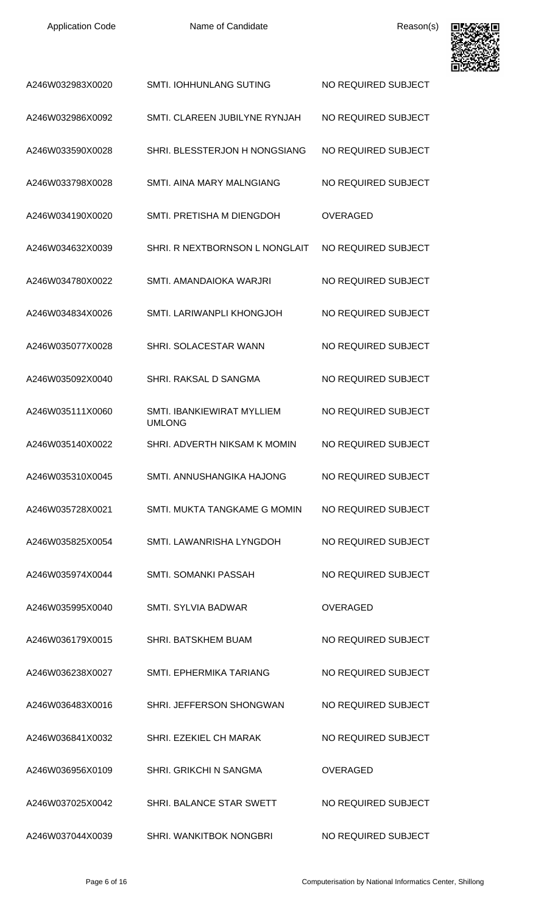

| A246W032983X0020 | <b>SMTI. IOHHUNLANG SUTING</b>              | NO REQUIRED SUBJECT |
|------------------|---------------------------------------------|---------------------|
| A246W032986X0092 | SMTI, CLAREEN JUBILYNE RYNJAH               | NO REQUIRED SUBJECT |
| A246W033590X0028 | SHRI. BLESSTERJON H NONGSIANG               | NO REQUIRED SUBJECT |
| A246W033798X0028 | SMTI. AINA MARY MALNGIANG                   | NO REQUIRED SUBJECT |
| A246W034190X0020 | SMTI. PRETISHA M DIENGDOH                   | <b>OVERAGED</b>     |
| A246W034632X0039 | SHRI. R NEXTBORNSON L NONGLAIT              | NO REQUIRED SUBJECT |
| A246W034780X0022 | SMTI, AMANDAIOKA WARJRI                     | NO REQUIRED SUBJECT |
| A246W034834X0026 | SMTI. LARIWANPLI KHONGJOH                   | NO REQUIRED SUBJECT |
| A246W035077X0028 | SHRI. SOLACESTAR WANN                       | NO REQUIRED SUBJECT |
| A246W035092X0040 | SHRI. RAKSAL D SANGMA                       | NO REQUIRED SUBJECT |
| A246W035111X0060 | SMTI. IBANKIEWIRAT MYLLIEM<br><b>UMLONG</b> | NO REQUIRED SUBJECT |
| A246W035140X0022 | SHRI. ADVERTH NIKSAM K MOMIN                | NO REQUIRED SUBJECT |
| A246W035310X0045 | SMTI. ANNUSHANGIKA HAJONG                   | NO REQUIRED SUBJECT |
| A246W035728X0021 | SMTI. MUKTA TANGKAME G MOMIN                | NO REQUIRED SUBJECT |
| A246W035825X0054 | SMTI. LAWANRISHA LYNGDOH                    | NO REQUIRED SUBJECT |
| A246W035974X0044 | SMTI. SOMANKI PASSAH                        | NO REQUIRED SUBJECT |
| A246W035995X0040 | <b>SMTI. SYLVIA BADWAR</b>                  | <b>OVERAGED</b>     |
| A246W036179X0015 | <b>SHRI. BATSKHEM BUAM</b>                  | NO REQUIRED SUBJECT |
| A246W036238X0027 | SMTI, EPHERMIKA TARIANG                     | NO REQUIRED SUBJECT |
| A246W036483X0016 | SHRI. JEFFERSON SHONGWAN                    | NO REQUIRED SUBJECT |
| A246W036841X0032 | SHRI. EZEKIEL CH MARAK                      | NO REQUIRED SUBJECT |
| A246W036956X0109 | SHRI. GRIKCHI N SANGMA                      | <b>OVERAGED</b>     |
| A246W037025X0042 | SHRI. BALANCE STAR SWETT                    | NO REQUIRED SUBJECT |
| A246W037044X0039 | SHRI. WANKITBOK NONGBRI                     | NO REQUIRED SUBJECT |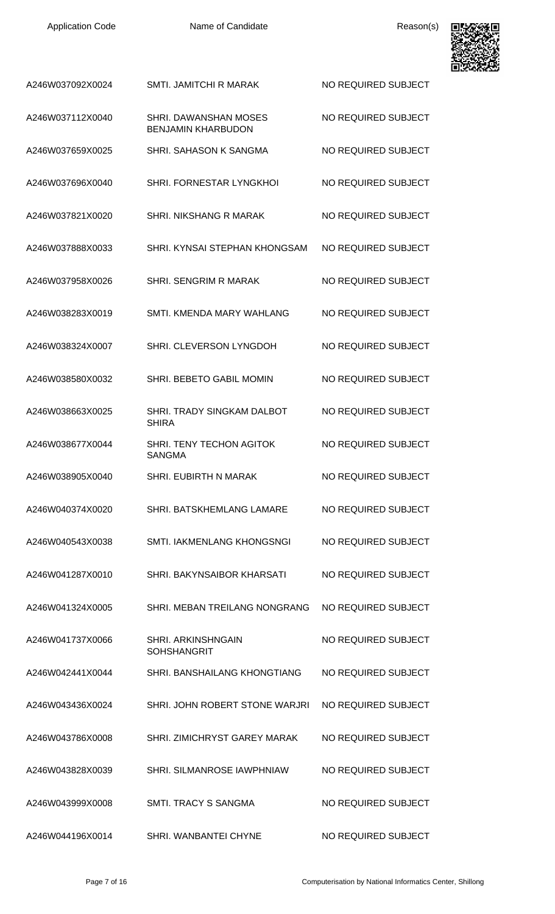| A246W037092X0024 | <b>SMTI. JAMITCHI R MARAK</b>                      | NO REQUIRED SUBJECT |
|------------------|----------------------------------------------------|---------------------|
| A246W037112X0040 | SHRI. DAWANSHAN MOSES<br><b>BENJAMIN KHARBUDON</b> | NO REQUIRED SUBJECT |
| A246W037659X0025 | SHRI, SAHASON K SANGMA                             | NO REQUIRED SUBJECT |
| A246W037696X0040 | SHRI. FORNESTAR LYNGKHOL                           | NO REQUIRED SUBJECT |
| A246W037821X0020 | SHRI. NIKSHANG R MARAK                             | NO REQUIRED SUBJECT |
| A246W037888X0033 | SHRI. KYNSAI STEPHAN KHONGSAM                      | NO REQUIRED SUBJECT |
| A246W037958X0026 | SHRI, SENGRIM R MARAK                              | NO REQUIRED SUBJECT |
| A246W038283X0019 | SMTI. KMENDA MARY WAHLANG                          | NO REQUIRED SUBJECT |
| A246W038324X0007 | SHRI. CLEVERSON LYNGDOH                            | NO REQUIRED SUBJECT |
| A246W038580X0032 | SHRI. BEBETO GABIL MOMIN                           | NO REQUIRED SUBJECT |
| A246W038663X0025 | <b>SHRI. TRADY SINGKAM DALBOT</b><br><b>SHIRA</b>  | NO REQUIRED SUBJECT |
| A246W038677X0044 | SHRI. TENY TECHON AGITOK<br>SANGMA                 | NO REQUIRED SUBJECT |
| A246W038905X0040 | SHRI. EUBIRTH N MARAK                              | NO REQUIRED SUBJECT |
| A246W040374X0020 | SHRI. BATSKHEMLANG LAMARE                          | NO REQUIRED SUBJECT |
| A246W040543X0038 | SMTI. IAKMENLANG KHONGSNGI                         | NO REQUIRED SUBJECT |
| A246W041287X0010 | SHRI. BAKYNSAIBOR KHARSATI                         | NO REQUIRED SUBJECT |
| A246W041324X0005 | SHRI. MEBAN TREILANG NONGRANG                      | NO REQUIRED SUBJECT |
| A246W041737X0066 | <b>SHRI. ARKINSHNGAIN</b><br><b>SOHSHANGRIT</b>    | NO REQUIRED SUBJECT |
| A246W042441X0044 | SHRI. BANSHAILANG KHONGTIANG                       | NO REQUIRED SUBJECT |
| A246W043436X0024 | SHRI. JOHN ROBERT STONE WARJRI                     | NO REQUIRED SUBJECT |
| A246W043786X0008 | SHRI. ZIMICHRYST GAREY MARAK                       | NO REQUIRED SUBJECT |
| A246W043828X0039 | <b>SHRI. SILMANROSE IAWPHNIAW</b>                  | NO REQUIRED SUBJECT |
| A246W043999X0008 | SMTI. TRACY S SANGMA                               | NO REQUIRED SUBJECT |
| A246W044196X0014 | SHRI. WANBANTEI CHYNE                              | NO REQUIRED SUBJECT |

回

间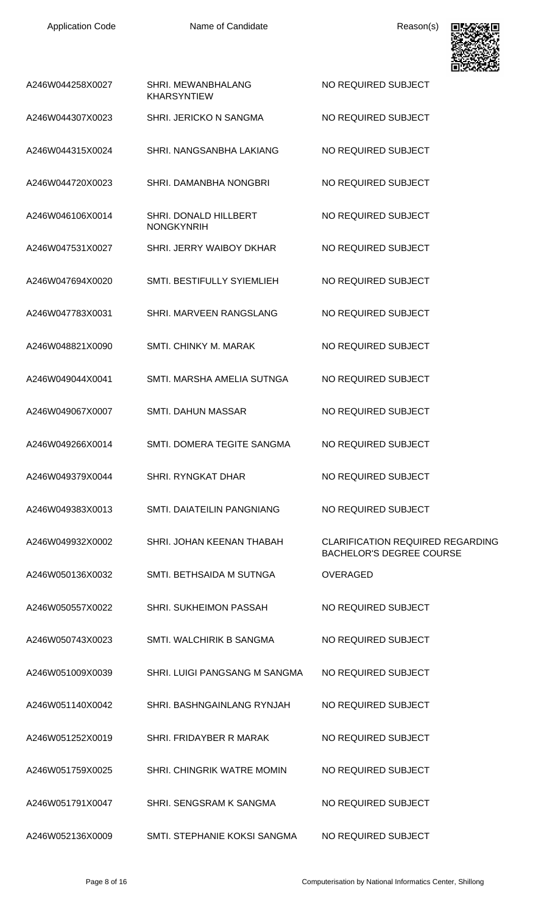

| A246W044258X0027 | SHRI. MEWANBHALANG<br><b>KHARSYNTIEW</b>   | NO REQUIRED SUBJECT                                                        |
|------------------|--------------------------------------------|----------------------------------------------------------------------------|
| A246W044307X0023 | SHRI. JERICKO N SANGMA                     | NO REQUIRED SUBJECT                                                        |
| A246W044315X0024 | SHRI. NANGSANBHA LAKIANG                   | NO REQUIRED SUBJECT                                                        |
| A246W044720X0023 | SHRI. DAMANBHA NONGBRI                     | NO REQUIRED SUBJECT                                                        |
| A246W046106X0014 | SHRI. DONALD HILLBERT<br><b>NONGKYNRIH</b> | NO REQUIRED SUBJECT                                                        |
| A246W047531X0027 | SHRI. JERRY WAIBOY DKHAR                   | NO REQUIRED SUBJECT                                                        |
| A246W047694X0020 | SMTI. BESTIFULLY SYIEMLIEH                 | NO REQUIRED SUBJECT                                                        |
| A246W047783X0031 | SHRI. MARVEEN RANGSLANG                    | NO REQUIRED SUBJECT                                                        |
| A246W048821X0090 | <b>SMTI, CHINKY M. MARAK</b>               | NO REQUIRED SUBJECT                                                        |
| A246W049044X0041 | SMTI. MARSHA AMELIA SUTNGA                 | NO REQUIRED SUBJECT                                                        |
| A246W049067X0007 | <b>SMTI. DAHUN MASSAR</b>                  | NO REQUIRED SUBJECT                                                        |
| A246W049266X0014 | SMTI. DOMERA TEGITE SANGMA                 | NO REQUIRED SUBJECT                                                        |
| A246W049379X0044 | SHRI. RYNGKAT DHAR                         | NO REQUIRED SUBJECT                                                        |
| A246W049383X0013 | SMTI, DAIATEILIN PANGNIANG                 | NO REQUIRED SUBJECT                                                        |
| A246W049932X0002 | SHRI. JOHAN KEENAN THABAH                  | <b>CLARIFICATION REQUIRED REGARDING</b><br><b>BACHELOR'S DEGREE COURSE</b> |
| A246W050136X0032 | SMTI. BETHSAIDA M SUTNGA                   | <b>OVERAGED</b>                                                            |
| A246W050557X0022 | SHRI. SUKHEIMON PASSAH                     | NO REQUIRED SUBJECT                                                        |
| A246W050743X0023 | SMTI. WALCHIRIK B SANGMA                   | NO REQUIRED SUBJECT                                                        |
| A246W051009X0039 | SHRI. LUIGI PANGSANG M SANGMA              | NO REQUIRED SUBJECT                                                        |
| A246W051140X0042 | SHRI. BASHNGAINLANG RYNJAH                 | NO REQUIRED SUBJECT                                                        |
| A246W051252X0019 | SHRI. FRIDAYBER R MARAK                    | NO REQUIRED SUBJECT                                                        |
| A246W051759X0025 | SHRI. CHINGRIK WATRE MOMIN                 | NO REQUIRED SUBJECT                                                        |
| A246W051791X0047 | SHRI. SENGSRAM K SANGMA                    | NO REQUIRED SUBJECT                                                        |
| A246W052136X0009 | SMTI, STEPHANIE KOKSI SANGMA               | NO REQUIRED SUBJECT                                                        |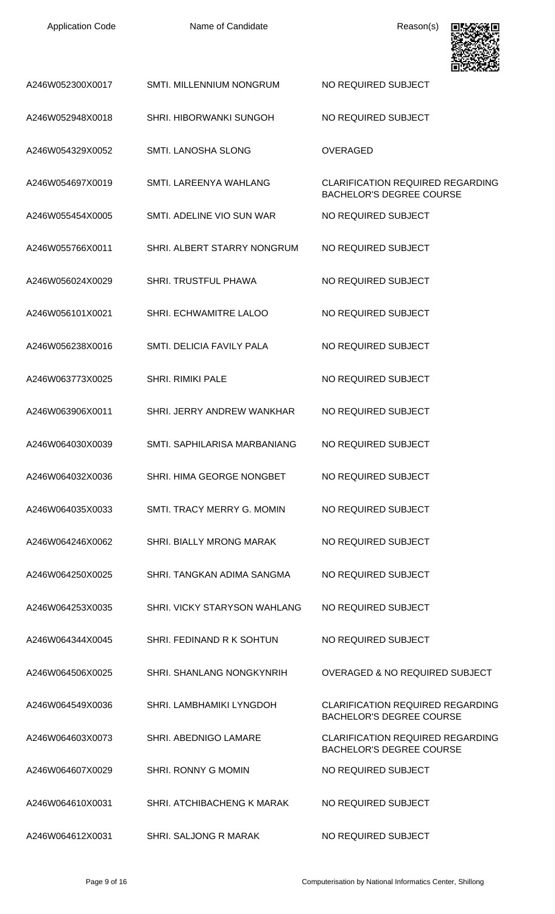| A246W052300X0017 | SMTI. MILLENNIUM NONGRUM       | NO REQUIRED SUBJECT                                                        |
|------------------|--------------------------------|----------------------------------------------------------------------------|
| A246W052948X0018 | <b>SHRI. HIBORWANKI SUNGOH</b> | NO REQUIRED SUBJECT                                                        |
| A246W054329X0052 | SMTI. LANOSHA SLONG            | <b>OVERAGED</b>                                                            |
| A246W054697X0019 | SMTI. LAREENYA WAHLANG         | <b>CLARIFICATION REQUIRED REGARDING</b><br><b>BACHELOR'S DEGREE COURSE</b> |
| A246W055454X0005 | SMTI. ADELINE VIO SUN WAR      | NO REQUIRED SUBJECT                                                        |
| A246W055766X0011 | SHRI. ALBERT STARRY NONGRUM    | NO REQUIRED SUBJECT                                                        |
| A246W056024X0029 | <b>SHRI. TRUSTFUL PHAWA</b>    | NO REQUIRED SUBJECT                                                        |
| A246W056101X0021 | SHRI. ECHWAMITRE LALOO         | NO REQUIRED SUBJECT                                                        |
| A246W056238X0016 | SMTI. DELICIA FAVILY PALA      | NO REQUIRED SUBJECT                                                        |
| A246W063773X0025 | <b>SHRI. RIMIKI PALE</b>       | NO REQUIRED SUBJECT                                                        |
| A246W063906X0011 | SHRI. JERRY ANDREW WANKHAR     | NO REQUIRED SUBJECT                                                        |
| A246W064030X0039 | SMTI. SAPHILARISA MARBANIANG   | NO REQUIRED SUBJECT                                                        |
| A246W064032X0036 | SHRI. HIMA GEORGE NONGBET      | NO REQUIRED SUBJECT                                                        |
| A246W064035X0033 | SMTI. TRACY MERRY G. MOMIN     | NO REQUIRED SUBJECT                                                        |
| A246W064246X0062 | SHRI. BIALLY MRONG MARAK       | NO REQUIRED SUBJECT                                                        |
| A246W064250X0025 | SHRI. TANGKAN ADIMA SANGMA     | NO REQUIRED SUBJECT                                                        |
| A246W064253X0035 | SHRI. VICKY STARYSON WAHLANG   | NO REQUIRED SUBJECT                                                        |
| A246W064344X0045 | SHRI. FEDINAND R K SOHTUN      | NO REQUIRED SUBJECT                                                        |
| A246W064506X0025 | SHRI. SHANLANG NONGKYNRIH      | OVERAGED & NO REQUIRED SUBJECT                                             |
| A246W064549X0036 | SHRI. LAMBHAMIKI LYNGDOH       | <b>CLARIFICATION REQUIRED REGARDING</b><br><b>BACHELOR'S DEGREE COURSE</b> |
| A246W064603X0073 | SHRI. ABEDNIGO LAMARE          | <b>CLARIFICATION REQUIRED REGARDING</b><br><b>BACHELOR'S DEGREE COURSE</b> |
| A246W064607X0029 | SHRI. RONNY G MOMIN            | NO REQUIRED SUBJECT                                                        |
| A246W064610X0031 | SHRI. ATCHIBACHENG K MARAK     | NO REQUIRED SUBJECT                                                        |
| A246W064612X0031 | SHRI. SALJONG R MARAK          | NO REQUIRED SUBJECT                                                        |

興味深熱見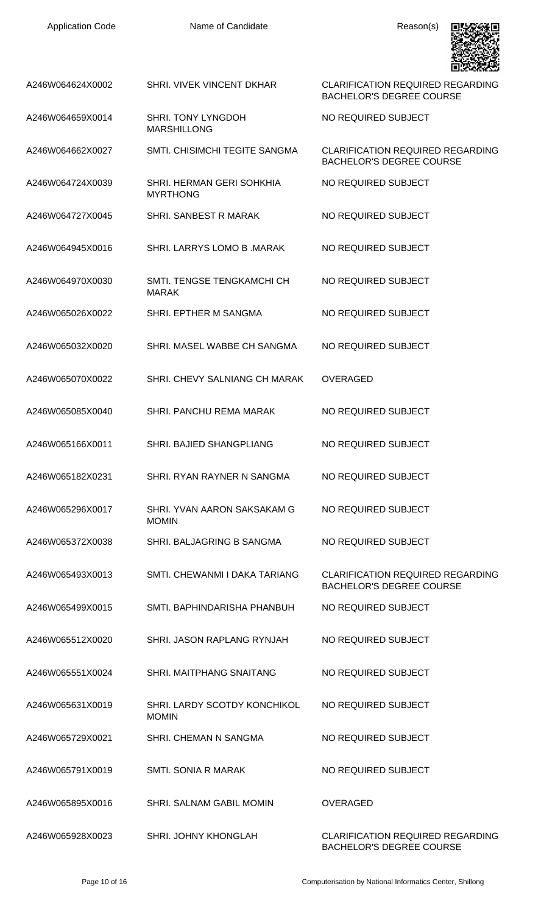| <b>Application Code</b> |  |
|-------------------------|--|
|-------------------------|--|



| A246W064624X0002 | SHRI. VIVEK VINCENT DKHAR                       | <b>CLARIFICATION REQUIRED REGARDING</b><br><b>BACHELOR'S DEGREE COURSE</b> |
|------------------|-------------------------------------------------|----------------------------------------------------------------------------|
| A246W064659X0014 | <b>SHRI. TONY LYNGDOH</b><br><b>MARSHILLONG</b> | NO REQUIRED SUBJECT                                                        |
| A246W064662X0027 | SMTI. CHISIMCHI TEGITE SANGMA                   | <b>CLARIFICATION REQUIRED REGARDING</b><br><b>BACHELOR'S DEGREE COURSE</b> |
| A246W064724X0039 | SHRI. HERMAN GERI SOHKHIA<br><b>MYRTHONG</b>    | NO REQUIRED SUBJECT                                                        |
| A246W064727X0045 | SHRI. SANBEST R MARAK                           | NO REQUIRED SUBJECT                                                        |
| A246W064945X0016 | SHRI. LARRYS LOMO B. MARAK                      | NO REQUIRED SUBJECT                                                        |
| A246W064970X0030 | SMTI. TENGSE TENGKAMCHI CH<br><b>MARAK</b>      | NO REQUIRED SUBJECT                                                        |
| A246W065026X0022 | SHRI. EPTHER M SANGMA                           | NO REQUIRED SUBJECT                                                        |
| A246W065032X0020 | SHRI. MASEL WABBE CH SANGMA                     | NO REQUIRED SUBJECT                                                        |
| A246W065070X0022 | SHRI. CHEVY SALNIANG CH MARAK                   | <b>OVERAGED</b>                                                            |
| A246W065085X0040 | SHRI. PANCHU REMA MARAK                         | NO REQUIRED SUBJECT                                                        |
| A246W065166X0011 | SHRI. BAJIED SHANGPLIANG                        | NO REQUIRED SUBJECT                                                        |
| A246W065182X0231 | SHRI. RYAN RAYNER N SANGMA                      | NO REQUIRED SUBJECT                                                        |
| A246W065296X0017 | SHRI. YVAN AARON SAKSAKAM G<br><b>MOMIN</b>     | NO REQUIRED SUBJECT                                                        |
| A246W065372X0038 | SHRI. BALJAGRING B SANGMA                       | NO REQUIRED SUBJECT                                                        |
| A246W065493X0013 | SMTI, CHEWANMI I DAKA TARIANG                   | <b>CLARIFICATION REQUIRED REGARDING</b><br><b>BACHELOR'S DEGREE COURSE</b> |
| A246W065499X0015 | SMTI. BAPHINDARISHA PHANBUH                     | NO REQUIRED SUBJECT                                                        |
| A246W065512X0020 | SHRI. JASON RAPLANG RYNJAH                      | NO REQUIRED SUBJECT                                                        |
| A246W065551X0024 | SHRI. MAITPHANG SNAITANG                        | NO REQUIRED SUBJECT                                                        |
| A246W065631X0019 | SHRI. LARDY SCOTDY KONCHIKOL<br><b>MOMIN</b>    | NO REQUIRED SUBJECT                                                        |
| A246W065729X0021 | SHRI. CHEMAN N SANGMA                           | NO REQUIRED SUBJECT                                                        |
| A246W065791X0019 | SMTI, SONIA R MARAK                             | NO REQUIRED SUBJECT                                                        |
| A246W065895X0016 | SHRI, SALNAM GABIL MOMIN                        | <b>OVERAGED</b>                                                            |
| A246W065928X0023 | SHRI. JOHNY KHONGLAH                            | <b>CLARIFICATION REQUIRED REGARDING</b><br><b>BACHELOR'S DEGREE COURSE</b> |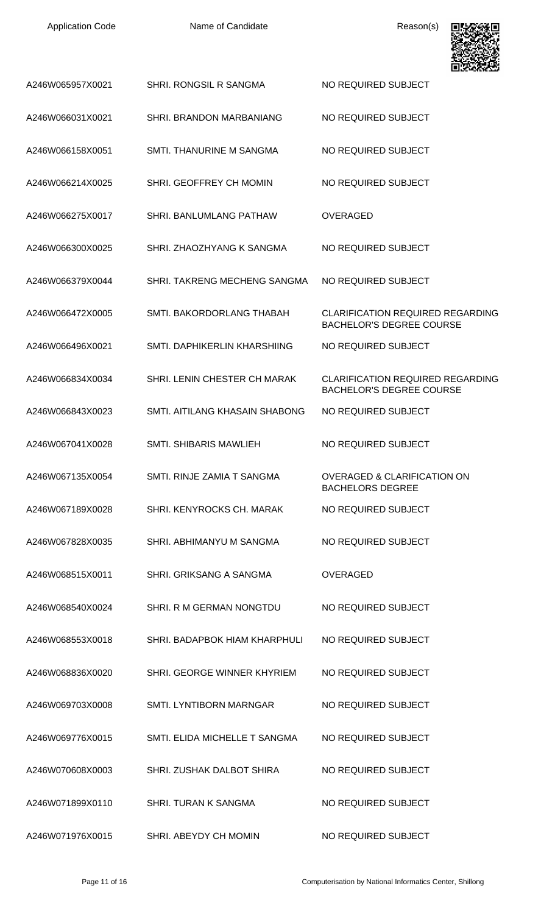

|                  |                                | - - - - - - - - - - -                                                      |
|------------------|--------------------------------|----------------------------------------------------------------------------|
| A246W065957X0021 | SHRI. RONGSIL R SANGMA         | NO REQUIRED SUBJECT                                                        |
| A246W066031X0021 | SHRI. BRANDON MARBANIANG       | NO REQUIRED SUBJECT                                                        |
| A246W066158X0051 | SMTI. THANURINE M SANGMA       | NO REQUIRED SUBJECT                                                        |
| A246W066214X0025 | SHRI. GEOFFREY CH MOMIN        | NO REQUIRED SUBJECT                                                        |
| A246W066275X0017 | SHRI. BANLUMLANG PATHAW        | <b>OVERAGED</b>                                                            |
| A246W066300X0025 | SHRI. ZHAOZHYANG K SANGMA      | NO REQUIRED SUBJECT                                                        |
| A246W066379X0044 | SHRI. TAKRENG MECHENG SANGMA   | NO REQUIRED SUBJECT                                                        |
| A246W066472X0005 | SMTI, BAKORDORLANG THABAH      | <b>CLARIFICATION REQUIRED REGARDING</b><br><b>BACHELOR'S DEGREE COURSE</b> |
| A246W066496X0021 | SMTI. DAPHIKERLIN KHARSHIING   | NO REQUIRED SUBJECT                                                        |
| A246W066834X0034 | SHRI. LENIN CHESTER CH MARAK   | <b>CLARIFICATION REQUIRED REGARDING</b><br><b>BACHELOR'S DEGREE COURSE</b> |
| A246W066843X0023 | SMTI, AITILANG KHASAIN SHABONG | NO REQUIRED SUBJECT                                                        |
| A246W067041X0028 | <b>SMTI. SHIBARIS MAWLIEH</b>  | NO REQUIRED SUBJECT                                                        |
| A246W067135X0054 | SMTI. RINJE ZAMIA T SANGMA     | <b>OVERAGED &amp; CLARIFICATION ON</b><br><b>BACHELORS DEGREE</b>          |
| A246W067189X0028 | SHRI, KENYROCKS CH. MARAK      | NO REQUIRED SUBJECT                                                        |
| A246W067828X0035 | SHRI. ABHIMANYU M SANGMA       | NO REQUIRED SUBJECT                                                        |
| A246W068515X0011 | SHRI. GRIKSANG A SANGMA        | <b>OVERAGED</b>                                                            |
| A246W068540X0024 | SHRI. R M GERMAN NONGTDU       | NO REQUIRED SUBJECT                                                        |
| A246W068553X0018 | SHRI. BADAPBOK HIAM KHARPHULI  | NO REQUIRED SUBJECT                                                        |
| A246W068836X0020 | SHRI. GEORGE WINNER KHYRIEM    | NO REQUIRED SUBJECT                                                        |
| A246W069703X0008 | <b>SMTI. LYNTIBORN MARNGAR</b> | NO REQUIRED SUBJECT                                                        |
| A246W069776X0015 | SMTI. ELIDA MICHELLE T SANGMA  | NO REQUIRED SUBJECT                                                        |
| A246W070608X0003 | SHRI. ZUSHAK DALBOT SHIRA      | NO REQUIRED SUBJECT                                                        |
| A246W071899X0110 | <b>SHRI. TURAN K SANGMA</b>    | NO REQUIRED SUBJECT                                                        |
| A246W071976X0015 | SHRI. ABEYDY CH MOMIN          | NO REQUIRED SUBJECT                                                        |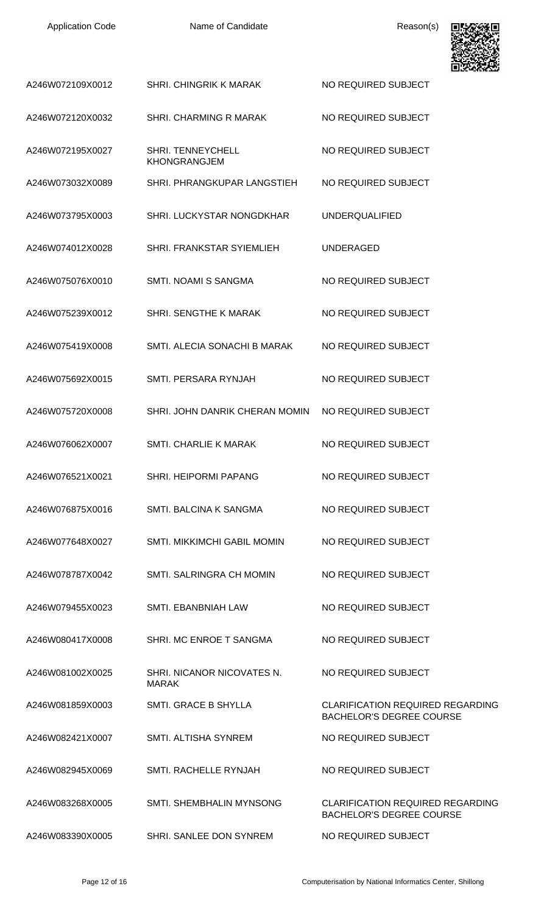| A246W072109X0012 | <b>SHRI. CHINGRIK K MARAK</b>                   | NO REQUIRED SUBJECT                                                        |
|------------------|-------------------------------------------------|----------------------------------------------------------------------------|
| A246W072120X0032 | SHRI. CHARMING R MARAK                          | NO REQUIRED SUBJECT                                                        |
| A246W072195X0027 | <b>SHRI. TENNEYCHELL</b><br><b>KHONGRANGJEM</b> | NO REQUIRED SUBJECT                                                        |
| A246W073032X0089 | SHRI. PHRANGKUPAR LANGSTIEH                     | NO REQUIRED SUBJECT                                                        |
| A246W073795X0003 | SHRI. LUCKYSTAR NONGDKHAR                       | <b>UNDERQUALIFIED</b>                                                      |
| A246W074012X0028 | SHRI. FRANKSTAR SYIEMLIEH                       | <b>UNDERAGED</b>                                                           |
| A246W075076X0010 | SMTI. NOAMI S SANGMA                            | NO REQUIRED SUBJECT                                                        |
| A246W075239X0012 | SHRI. SENGTHE K MARAK                           | NO REQUIRED SUBJECT                                                        |
| A246W075419X0008 | SMTI. ALECIA SONACHI B MARAK                    | NO REQUIRED SUBJECT                                                        |
| A246W075692X0015 | SMTI. PERSARA RYNJAH                            | NO REQUIRED SUBJECT                                                        |
| A246W075720X0008 | SHRI. JOHN DANRIK CHERAN MOMIN                  | NO REQUIRED SUBJECT                                                        |
| A246W076062X0007 | <b>SMTI. CHARLIE K MARAK</b>                    | NO REQUIRED SUBJECT                                                        |
| A246W076521X0021 | <b>SHRI. HEIPORMI PAPANG</b>                    | NO REQUIRED SUBJECT                                                        |
| A246W076875X0016 | SMTI, BALCINA K SANGMA                          | NO REQUIRED SUBJECT                                                        |
| A246W077648X0027 | <b>SMTI. MIKKIMCHI GABIL MOMIN</b>              | NO REQUIRED SUBJECT                                                        |
| A246W078787X0042 | SMTI. SALRINGRA CH MOMIN                        | NO REQUIRED SUBJECT                                                        |
| A246W079455X0023 | SMTI. EBANBNIAH LAW                             | NO REQUIRED SUBJECT                                                        |
| A246W080417X0008 | SHRI, MC ENROE T SANGMA                         | NO REQUIRED SUBJECT                                                        |
| A246W081002X0025 | SHRI. NICANOR NICOVATES N.<br><b>MARAK</b>      | NO REQUIRED SUBJECT                                                        |
| A246W081859X0003 | <b>SMTI. GRACE B SHYLLA</b>                     | <b>CLARIFICATION REQUIRED REGARDING</b><br><b>BACHELOR'S DEGREE COURSE</b> |
| A246W082421X0007 | <b>SMTI. ALTISHA SYNREM</b>                     | NO REQUIRED SUBJECT                                                        |
| A246W082945X0069 | SMTI, RACHELLE RYNJAH                           | NO REQUIRED SUBJECT                                                        |
| A246W083268X0005 | SMTI. SHEMBHALIN MYNSONG                        | <b>CLARIFICATION REQUIRED REGARDING</b><br><b>BACHELOR'S DEGREE COURSE</b> |
| A246W083390X0005 | SHRI. SANLEE DON SYNREM                         | NO REQUIRED SUBJECT                                                        |

興務務理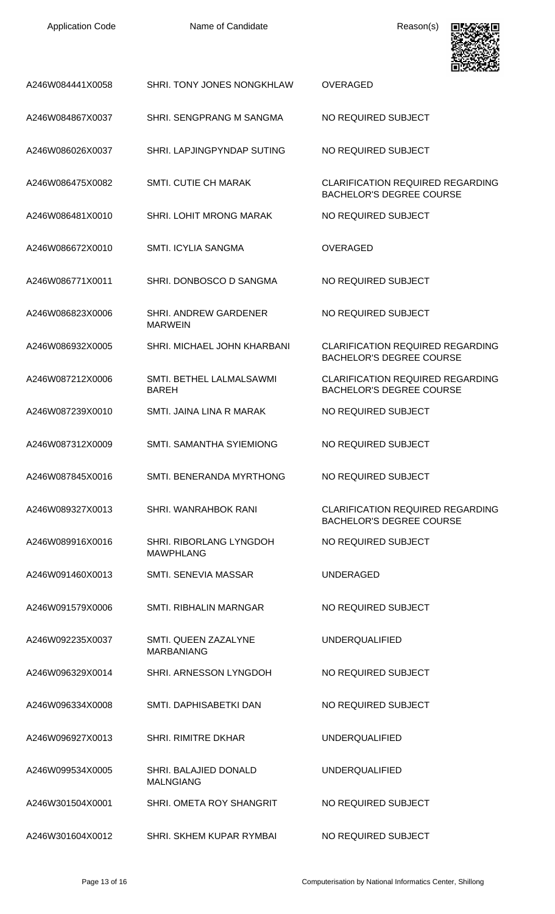| <b>Application Code</b> |  |
|-------------------------|--|
|-------------------------|--|



| A246W084441X0058 | SHRI. TONY JONES NONGKHLAW                     | <b>OVERAGED</b>                                                            |
|------------------|------------------------------------------------|----------------------------------------------------------------------------|
| A246W084867X0037 | SHRI. SENGPRANG M SANGMA                       | NO REQUIRED SUBJECT                                                        |
| A246W086026X0037 | SHRI. LAPJINGPYNDAP SUTING                     | NO REQUIRED SUBJECT                                                        |
| A246W086475X0082 | <b>SMTI. CUTIE CH MARAK</b>                    | <b>CLARIFICATION REQUIRED REGARDING</b><br><b>BACHELOR'S DEGREE COURSE</b> |
| A246W086481X0010 | <b>SHRI. LOHIT MRONG MARAK</b>                 | NO REQUIRED SUBJECT                                                        |
| A246W086672X0010 | <b>SMTI. ICYLIA SANGMA</b>                     | <b>OVERAGED</b>                                                            |
| A246W086771X0011 | SHRI. DONBOSCO D SANGMA                        | NO REQUIRED SUBJECT                                                        |
| A246W086823X0006 | <b>SHRI. ANDREW GARDENER</b><br><b>MARWEIN</b> | NO REQUIRED SUBJECT                                                        |
| A246W086932X0005 | SHRI. MICHAEL JOHN KHARBANI                    | <b>CLARIFICATION REQUIRED REGARDING</b><br><b>BACHELOR'S DEGREE COURSE</b> |
| A246W087212X0006 | SMTI. BETHEL LALMALSAWMI<br><b>BAREH</b>       | <b>CLARIFICATION REQUIRED REGARDING</b><br><b>BACHELOR'S DEGREE COURSE</b> |
| A246W087239X0010 | SMTI. JAINA LINA R MARAK                       | NO REQUIRED SUBJECT                                                        |
| A246W087312X0009 | <b>SMTI. SAMANTHA SYIEMIONG</b>                | NO REQUIRED SUBJECT                                                        |
| A246W087845X0016 | SMTI. BENERANDA MYRTHONG                       | NO REQUIRED SUBJECT                                                        |
| A246W089327X0013 | SHRI. WANRAHBOK RANI                           | <b>CLARIFICATION REQUIRED REGARDING</b><br><b>BACHELOR'S DEGREE COURSE</b> |
| A246W089916X0016 | SHRI. RIBORLANG LYNGDOH<br><b>MAWPHLANG</b>    | NO REQUIRED SUBJECT                                                        |
| A246W091460X0013 | SMTI. SENEVIA MASSAR                           | <b>UNDERAGED</b>                                                           |
| A246W091579X0006 | SMTI. RIBHALIN MARNGAR                         | NO REQUIRED SUBJECT                                                        |
| A246W092235X0037 | SMTI. QUEEN ZAZALYNE<br><b>MARBANIANG</b>      | <b>UNDERQUALIFIED</b>                                                      |
| A246W096329X0014 | SHRI. ARNESSON LYNGDOH                         | NO REQUIRED SUBJECT                                                        |
| A246W096334X0008 | SMTI. DAPHISABETKI DAN                         | NO REQUIRED SUBJECT                                                        |
| A246W096927X0013 | <b>SHRI. RIMITRE DKHAR</b>                     | <b>UNDERQUALIFIED</b>                                                      |
| A246W099534X0005 | SHRI. BALAJIED DONALD<br><b>MALNGIANG</b>      | <b>UNDERQUALIFIED</b>                                                      |
| A246W301504X0001 | SHRI. OMETA ROY SHANGRIT                       | NO REQUIRED SUBJECT                                                        |
| A246W301604X0012 | SHRI. SKHEM KUPAR RYMBAI                       | NO REQUIRED SUBJECT                                                        |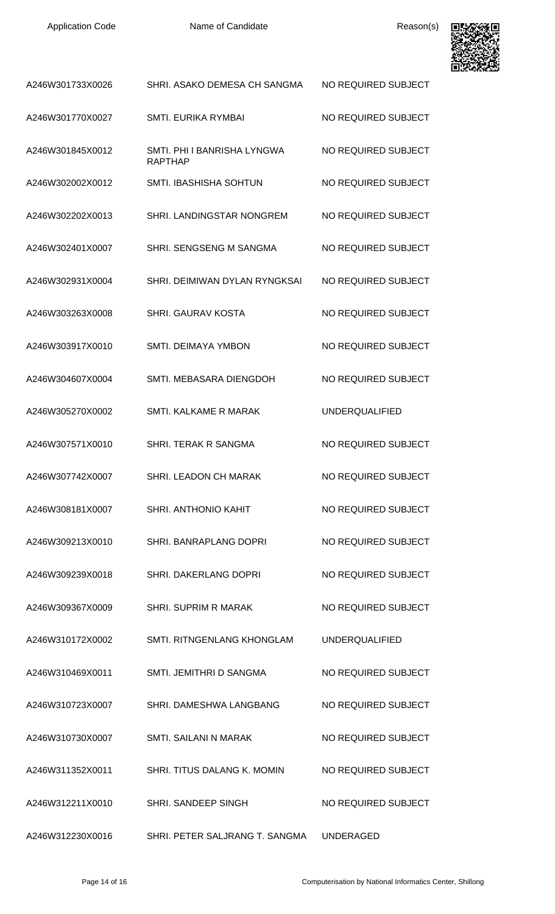

| A246W301733X0026 | SHRI. ASAKO DEMESA CH SANGMA                  | NO REQUIRED SUBJECT   |
|------------------|-----------------------------------------------|-----------------------|
| A246W301770X0027 | <b>SMTI. EURIKA RYMBAI</b>                    | NO REQUIRED SUBJECT   |
| A246W301845X0012 | SMTI, PHI I BANRISHA LYNGWA<br><b>RAPTHAP</b> | NO REQUIRED SUBJECT   |
| A246W302002X0012 | <b>SMTI. IBASHISHA SOHTUN</b>                 | NO REQUIRED SUBJECT   |
| A246W302202X0013 | SHRI. LANDINGSTAR NONGREM                     | NO REQUIRED SUBJECT   |
| A246W302401X0007 | SHRI. SENGSENG M SANGMA                       | NO REQUIRED SUBJECT   |
| A246W302931X0004 | SHRI. DEIMIWAN DYLAN RYNGKSAI                 | NO REQUIRED SUBJECT   |
| A246W303263X0008 | <b>SHRI, GAURAV KOSTA</b>                     | NO REQUIRED SUBJECT   |
| A246W303917X0010 | <b>SMTI. DEIMAYA YMBON</b>                    | NO REQUIRED SUBJECT   |
| A246W304607X0004 | SMTI. MEBASARA DIENGDOH                       | NO REQUIRED SUBJECT   |
| A246W305270X0002 | SMTI, KALKAME R MARAK                         | <b>UNDERQUALIFIED</b> |
| A246W307571X0010 | SHRI. TERAK R SANGMA                          | NO REQUIRED SUBJECT   |
| A246W307742X0007 | SHRI. LEADON CH MARAK                         | NO REQUIRED SUBJECT   |
| A246W308181X0007 | SHRI. ANTHONIO KAHIT                          | NO REQUIRED SUBJECT   |
| A246W309213X0010 | SHRI. BANRAPLANG DOPRI                        | NO REQUIRED SUBJECT   |
| A246W309239X0018 | SHRI. DAKERLANG DOPRI                         | NO REQUIRED SUBJECT   |
| A246W309367X0009 | SHRI. SUPRIM R MARAK                          | NO REQUIRED SUBJECT   |
| A246W310172X0002 | SMTI. RITNGENLANG KHONGLAM                    | <b>UNDERQUALIFIED</b> |
| A246W310469X0011 | SMTI. JEMITHRI D SANGMA                       | NO REQUIRED SUBJECT   |
| A246W310723X0007 | SHRI. DAMESHWA LANGBANG                       | NO REQUIRED SUBJECT   |
| A246W310730X0007 | SMTI. SAILANI N MARAK                         | NO REQUIRED SUBJECT   |
| A246W311352X0011 | SHRI. TITUS DALANG K. MOMIN                   | NO REQUIRED SUBJECT   |
| A246W312211X0010 | SHRI. SANDEEP SINGH                           | NO REQUIRED SUBJECT   |
| A246W312230X0016 | SHRI. PETER SALJRANG T. SANGMA                | <b>UNDERAGED</b>      |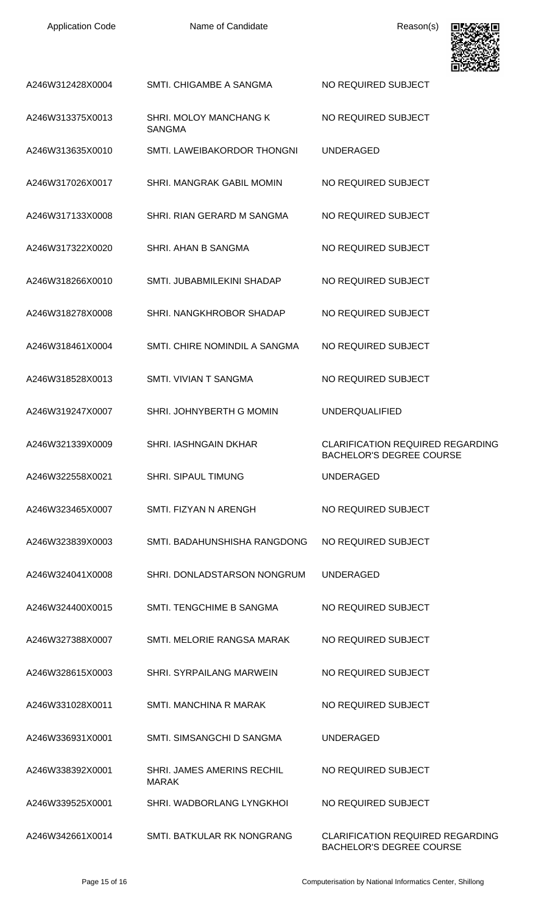| <b>Application Code</b> |  |
|-------------------------|--|
|-------------------------|--|



|                  |                                            | LE LO PORTO CAP                                                            |
|------------------|--------------------------------------------|----------------------------------------------------------------------------|
| A246W312428X0004 | SMTI, CHIGAMBE A SANGMA                    | NO REQUIRED SUBJECT                                                        |
| A246W313375X0013 | SHRI. MOLOY MANCHANG K<br><b>SANGMA</b>    | NO REQUIRED SUBJECT                                                        |
| A246W313635X0010 | SMTI. LAWEIBAKORDOR THONGNI                | <b>UNDERAGED</b>                                                           |
| A246W317026X0017 | SHRI. MANGRAK GABIL MOMIN                  | NO REQUIRED SUBJECT                                                        |
| A246W317133X0008 | SHRI. RIAN GERARD M SANGMA                 | NO REQUIRED SUBJECT                                                        |
| A246W317322X0020 | SHRI. AHAN B SANGMA                        | NO REQUIRED SUBJECT                                                        |
| A246W318266X0010 | SMTI. JUBABMILEKINI SHADAP                 | NO REQUIRED SUBJECT                                                        |
| A246W318278X0008 | SHRI. NANGKHROBOR SHADAP                   | NO REQUIRED SUBJECT                                                        |
| A246W318461X0004 | SMTI. CHIRE NOMINDIL A SANGMA              | NO REQUIRED SUBJECT                                                        |
| A246W318528X0013 | SMTI. VIVIAN T SANGMA                      | NO REQUIRED SUBJECT                                                        |
| A246W319247X0007 | SHRI. JOHNYBERTH G MOMIN                   | <b>UNDERQUALIFIED</b>                                                      |
| A246W321339X0009 | <b>SHRI. IASHNGAIN DKHAR</b>               | <b>CLARIFICATION REQUIRED REGARDING</b><br><b>BACHELOR'S DEGREE COURSE</b> |
| A246W322558X0021 | <b>SHRI. SIPAUL TIMUNG</b>                 | <b>UNDERAGED</b>                                                           |
| A246W323465X0007 | SMTI. FIZYAN N ARENGH                      | NO REQUIRED SUBJECT                                                        |
| A246W323839X0003 | SMTI. BADAHUNSHISHA RANGDONG               | NO REQUIRED SUBJECT                                                        |
| A246W324041X0008 | SHRI. DONLADSTARSON NONGRUM                | <b>UNDERAGED</b>                                                           |
| A246W324400X0015 | SMTI. TENGCHIME B SANGMA                   | NO REQUIRED SUBJECT                                                        |
| A246W327388X0007 | SMTI. MELORIE RANGSA MARAK                 | NO REQUIRED SUBJECT                                                        |
| A246W328615X0003 | SHRI. SYRPAILANG MARWEIN                   | NO REQUIRED SUBJECT                                                        |
| A246W331028X0011 | SMTI. MANCHINA R MARAK                     | NO REQUIRED SUBJECT                                                        |
| A246W336931X0001 | SMTI. SIMSANGCHI D SANGMA                  | <b>UNDERAGED</b>                                                           |
| A246W338392X0001 | SHRI. JAMES AMERINS RECHIL<br><b>MARAK</b> | NO REQUIRED SUBJECT                                                        |
| A246W339525X0001 | SHRI. WADBORLANG LYNGKHOL                  | NO REQUIRED SUBJECT                                                        |
| A246W342661X0014 | SMTI. BATKULAR RK NONGRANG                 | <b>CLARIFICATION REQUIRED REGARDING</b><br><b>BACHELOR'S DEGREE COURSE</b> |